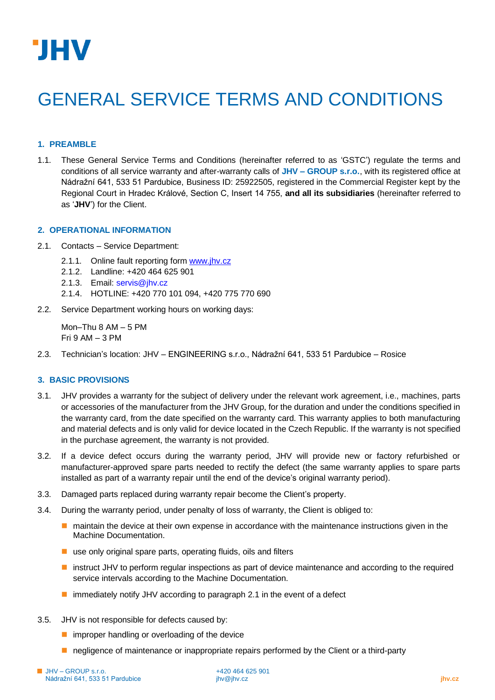

# GENERAL SERVICE TERMS AND CONDITIONS

# **1. PREAMBLE**

1.1. These General Service Terms and Conditions (hereinafter referred to as 'GSTC') regulate the terms and conditions of all service warranty and after-warranty calls of **JHV – GROUP s.r.o.**, with its registered office at Nádražní 641, 533 51 Pardubice, Business ID: 25922505, registered in the Commercial Register kept by the Regional Court in Hradec Králové, Section C, Insert 14 755, **and all its subsidiaries** (hereinafter referred to as '**JHV**') for the Client.

#### **2. OPERATIONAL INFORMATION**

- 2.1. Contacts Service Department:
	- 2.1.1. Online fault reporting form [www.jhv.cz](http://www.jhv.cz/)
	- 2.1.2. Landline: +420 464 625 901
	- 2.1.3. Email: [servis@jhv.cz](about:blank)
	- 2.1.4. HOTLINE: +420 770 101 094, +420 775 770 690
- 2.2. Service Department working hours on working days:

Mon–Thu 8 AM – 5 PM Fri 9 AM – 3 PM

2.3. Technician's location: JHV – ENGINEERING s.r.o., Nádražní 641, 533 51 Pardubice – Rosice

# **3. BASIC PROVISIONS**

- 3.1. JHV provides a warranty for the subject of delivery under the relevant work agreement, i.e., machines, parts or accessories of the manufacturer from the JHV Group, for the duration and under the conditions specified in the warranty card, from the date specified on the warranty card. This warranty applies to both manufacturing and material defects and is only valid for device located in the Czech Republic. If the warranty is not specified in the purchase agreement, the warranty is not provided.
- 3.2. If a device defect occurs during the warranty period, JHV will provide new or factory refurbished or manufacturer-approved spare parts needed to rectify the defect (the same warranty applies to spare parts installed as part of a warranty repair until the end of the device's original warranty period).
- 3.3. Damaged parts replaced during warranty repair become the Client's property.
- 3.4. During the warranty period, under penalty of loss of warranty, the Client is obliged to:
	- maintain the device at their own expense in accordance with the maintenance instructions given in the Machine Documentation.
	- use only original spare parts, operating fluids, oils and filters
	- instruct JHV to perform regular inspections as part of device maintenance and according to the required service intervals according to the Machine Documentation.
	- immediately notify JHV according to paragraph 2.1 in the event of a defect
- 3.5. JHV is not responsible for defects caused by:
	- improper handling or overloading of the device
	- negligence of maintenance or inappropriate repairs performed by the Client or a third-party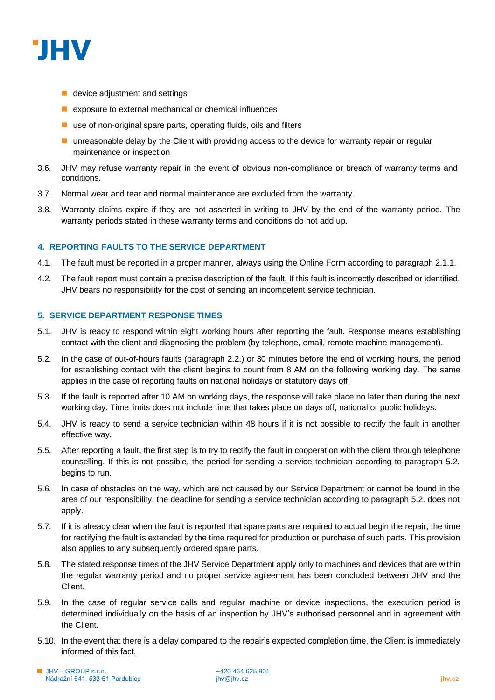

- $\blacksquare$  device adjustment and settings
- exposure to external mechanical or chemical influences
- $\blacksquare$  use of non-original spare parts, operating fluids, oils and filters
- unreasonable delay by the Client with providing access to the device for warranty repair or regular maintenance or inspection
- 3.6. JHV may refuse warranty repair in the event of obvious non-compliance or breach of warranty terms and conditions.
- 3.7. Normal wear and tear and normal maintenance are excluded from the warranty.
- 3.8. Warranty claims expire if they are not asserted in writing to JHV by the end of the warranty period. The warranty periods stated in these warranty terms and conditions do not add up.

# **4. REPORTING FAULTS TO THE SERVICE DEPARTMENT**

- 4.1. The fault must be reported in a proper manner, always using the Online Form according to paragraph 2.1.1.
- 4.2. The fault report must contain a precise description of the fault. If this fault is incorrectly described or identified, JHV bears no responsibility for the cost of sending an incompetent service technician.

# **5. SERVICE DEPARTMENT RESPONSE TIMES**

- 5.1. JHV is ready to respond within eight working hours after reporting the fault. Response means establishing contact with the client and diagnosing the problem (by telephone, email, remote machine management).
- 5.2. In the case of out-of-hours faults (paragraph 2.2.) or 30 minutes before the end of working hours, the period for establishing contact with the client begins to count from 8 AM on the following working day. The same applies in the case of reporting faults on national holidays or statutory days off.
- 5.3. If the fault is reported after 10 AM on working days, the response will take place no later than during the next working day. Time limits does not include time that takes place on days off, national or public holidays.
- 5.4. JHV is ready to send a service technician within 48 hours if it is not possible to rectify the fault in another effective way.
- 5.5. After reporting a fault, the first step is to try to rectify the fault in cooperation with the client through telephone counselling. If this is not possible, the period for sending a service technician according to paragraph 5.2. begins to run.
- 5.6. In case of obstacles on the way, which are not caused by our Service Department or cannot be found in the area of our responsibility, the deadline for sending a service technician according to paragraph 5.2. does not apply.
- 5.7. If it is already clear when the fault is reported that spare parts are required to actual begin the repair, the time for rectifying the fault is extended by the time required for production or purchase of such parts. This provision also applies to any subsequently ordered spare parts.
- 5.8. The stated response times of the JHV Service Department apply only to machines and devices that are within the regular warranty period and no proper service agreement has been concluded between JHV and the Client.
- 5.9. In the case of regular service calls and regular machine or device inspections, the execution period is determined individually on the basis of an inspection by JHV's authorised personnel and in agreement with the Client.
- 5.10. In the event that there is a delay compared to the repair's expected completion time, the Client is immediately informed of this fact.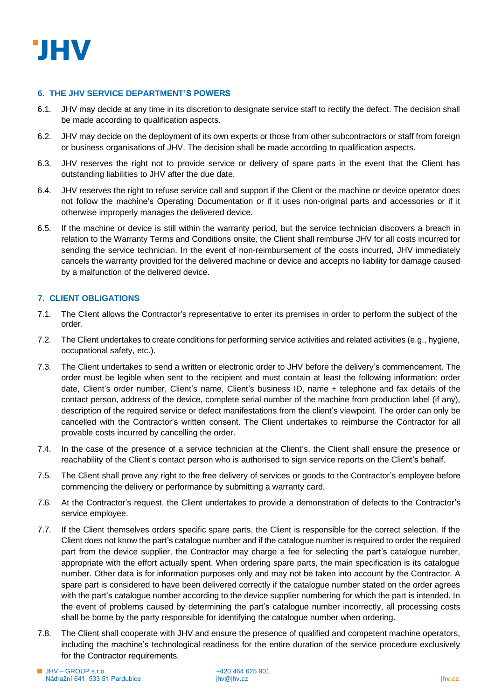

# **6. THE JHV SERVICE DEPARTMENT'S POWERS**

- 6.1. JHV may decide at any time in its discretion to designate service staff to rectify the defect. The decision shall be made according to qualification aspects.
- 6.2. JHV may decide on the deployment of its own experts or those from other subcontractors or staff from foreign or business organisations of JHV. The decision shall be made according to qualification aspects.
- 6.3. JHV reserves the right not to provide service or delivery of spare parts in the event that the Client has outstanding liabilities to JHV after the due date.
- 6.4. JHV reserves the right to refuse service call and support if the Client or the machine or device operator does not follow the machine's Operating Documentation or if it uses non-original parts and accessories or if it otherwise improperly manages the delivered device.
- 6.5. If the machine or device is still within the warranty period, but the service technician discovers a breach in relation to the Warranty Terms and Conditions onsite, the Client shall reimburse JHV for all costs incurred for sending the service technician. In the event of non-reimbursement of the costs incurred, JHV immediately cancels the warranty provided for the delivered machine or device and accepts no liability for damage caused by a malfunction of the delivered device.

# **7. CLIENT OBLIGATIONS**

- 7.1. The Client allows the Contractor's representative to enter its premises in order to perform the subject of the order.
- 7.2. The Client undertakes to create conditions for performing service activities and related activities (e.g., hygiene, occupational safety, etc.).
- 7.3. The Client undertakes to send a written or electronic order to JHV before the delivery's commencement. The order must be legible when sent to the recipient and must contain at least the following information: order date, Client's order number, Client's name, Client's business ID, name + telephone and fax details of the contact person, address of the device, complete serial number of the machine from production label (if any), description of the required service or defect manifestations from the client's viewpoint. The order can only be cancelled with the Contractor's written consent. The Client undertakes to reimburse the Contractor for all provable costs incurred by cancelling the order.
- 7.4. In the case of the presence of a service technician at the Client's, the Client shall ensure the presence or reachability of the Client's contact person who is authorised to sign service reports on the Client's behalf.
- 7.5. The Client shall prove any right to the free delivery of services or goods to the Contractor's employee before commencing the delivery or performance by submitting a warranty card.
- 7.6. At the Contractor's request, the Client undertakes to provide a demonstration of defects to the Contractor's service employee.
- 7.7. If the Client themselves orders specific spare parts, the Client is responsible for the correct selection. If the Client does not know the part's catalogue number and if the catalogue number is required to order the required part from the device supplier, the Contractor may charge a fee for selecting the part's catalogue number, appropriate with the effort actually spent. When ordering spare parts, the main specification is its catalogue number. Other data is for information purposes only and may not be taken into account by the Contractor. A spare part is considered to have been delivered correctly if the catalogue number stated on the order agrees with the part's catalogue number according to the device supplier numbering for which the part is intended. In the event of problems caused by determining the part's catalogue number incorrectly, all processing costs shall be borne by the party responsible for identifying the catalogue number when ordering.
- 7.8. The Client shall cooperate with JHV and ensure the presence of qualified and competent machine operators, including the machine's technological readiness for the entire duration of the service procedure exclusively for the Contractor requirements.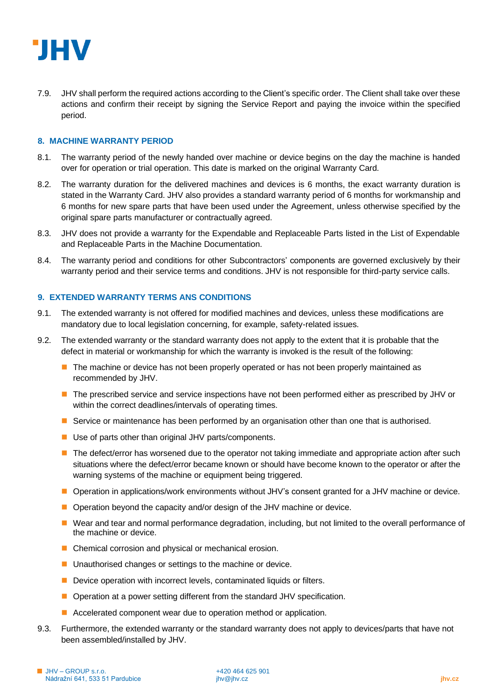

7.9. JHV shall perform the required actions according to the Client's specific order. The Client shall take over these actions and confirm their receipt by signing the Service Report and paying the invoice within the specified period.

# **8. MACHINE WARRANTY PERIOD**

- 8.1. The warranty period of the newly handed over machine or device begins on the day the machine is handed over for operation or trial operation. This date is marked on the original Warranty Card.
- 8.2. The warranty duration for the delivered machines and devices is 6 months, the exact warranty duration is stated in the Warranty Card. JHV also provides a standard warranty period of 6 months for workmanship and 6 months for new spare parts that have been used under the Agreement, unless otherwise specified by the original spare parts manufacturer or contractually agreed.
- 8.3. JHV does not provide a warranty for the Expendable and Replaceable Parts listed in the List of Expendable and Replaceable Parts in the Machine Documentation.
- 8.4. The warranty period and conditions for other Subcontractors' components are governed exclusively by their warranty period and their service terms and conditions. JHV is not responsible for third-party service calls.

#### **9. EXTENDED WARRANTY TERMS ANS CONDITIONS**

- 9.1. The extended warranty is not offered for modified machines and devices, unless these modifications are mandatory due to local legislation concerning, for example, safety-related issues.
- 9.2. The extended warranty or the standard warranty does not apply to the extent that it is probable that the defect in material or workmanship for which the warranty is invoked is the result of the following:
	- The machine or device has not been properly operated or has not been properly maintained as recommended by JHV.
	- The prescribed service and service inspections have not been performed either as prescribed by JHV or within the correct deadlines/intervals of operating times.
	- Service or maintenance has been performed by an organisation other than one that is authorised.
	- Use of parts other than original JHV parts/components.
	- The defect/error has worsened due to the operator not taking immediate and appropriate action after such situations where the defect/error became known or should have become known to the operator or after the warning systems of the machine or equipment being triggered.
	- Operation in applications/work environments without JHV's consent granted for a JHV machine or device.
	- Operation beyond the capacity and/or design of the JHV machine or device.
	- Wear and tear and normal performance degradation, including, but not limited to the overall performance of the machine or device.
	- Chemical corrosion and physical or mechanical erosion.
	- Unauthorised changes or settings to the machine or device.
	- Device operation with incorrect levels, contaminated liquids or filters.
	- Operation at a power setting different from the standard JHV specification.
	- Accelerated component wear due to operation method or application.
- 9.3. Furthermore, the extended warranty or the standard warranty does not apply to devices/parts that have not been assembled/installed by JHV.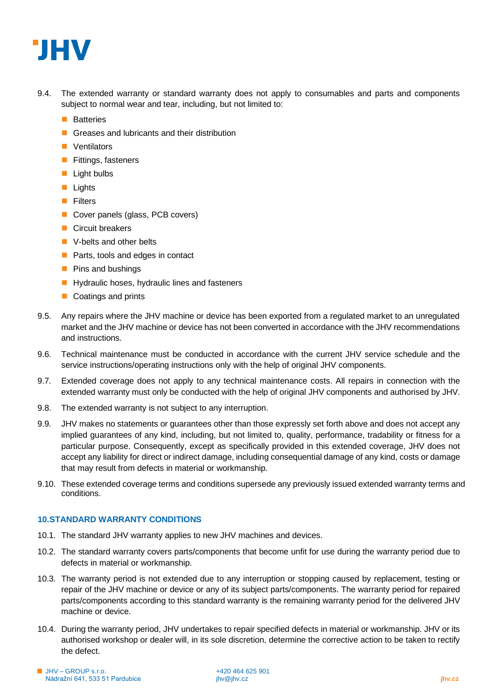

- 9.4. The extended warranty or standard warranty does not apply to consumables and parts and components subject to normal wear and tear, including, but not limited to:
	- Batteries
	- Greases and lubricants and their distribution
	- Ventilators
	- Fittings, fasteners
	- Light bulbs
	- Lights
	- Filters
	- Cover panels (glass, PCB covers)
	- Circuit breakers
	- V-belts and other belts
	- Parts, tools and edges in contact
	- Pins and bushings
	- Hydraulic hoses, hydraulic lines and fasteners
	- Coatings and prints
- 9.5. Any repairs where the JHV machine or device has been exported from a regulated market to an unregulated market and the JHV machine or device has not been converted in accordance with the JHV recommendations and instructions.
- 9.6. Technical maintenance must be conducted in accordance with the current JHV service schedule and the service instructions/operating instructions only with the help of original JHV components.
- 9.7. Extended coverage does not apply to any technical maintenance costs. All repairs in connection with the extended warranty must only be conducted with the help of original JHV components and authorised by JHV.
- 9.8. The extended warranty is not subject to any interruption.
- 9.9. JHV makes no statements or guarantees other than those expressly set forth above and does not accept any implied guarantees of any kind, including, but not limited to, quality, performance, tradability or fitness for a particular purpose. Consequently, except as specifically provided in this extended coverage, JHV does not accept any liability for direct or indirect damage, including consequential damage of any kind, costs or damage that may result from defects in material or workmanship.
- 9.10. These extended coverage terms and conditions supersede any previously issued extended warranty terms and conditions.

# **10.STANDARD WARRANTY CONDITIONS**

- 10.1. The standard JHV warranty applies to new JHV machines and devices.
- 10.2. The standard warranty covers parts/components that become unfit for use during the warranty period due to defects in material or workmanship.
- 10.3. The warranty period is not extended due to any interruption or stopping caused by replacement, testing or repair of the JHV machine or device or any of its subject parts/components. The warranty period for repaired parts/components according to this standard warranty is the remaining warranty period for the delivered JHV machine or device.
- 10.4. During the warranty period, JHV undertakes to repair specified defects in material or workmanship. JHV or its authorised workshop or dealer will, in its sole discretion, determine the corrective action to be taken to rectify the defect.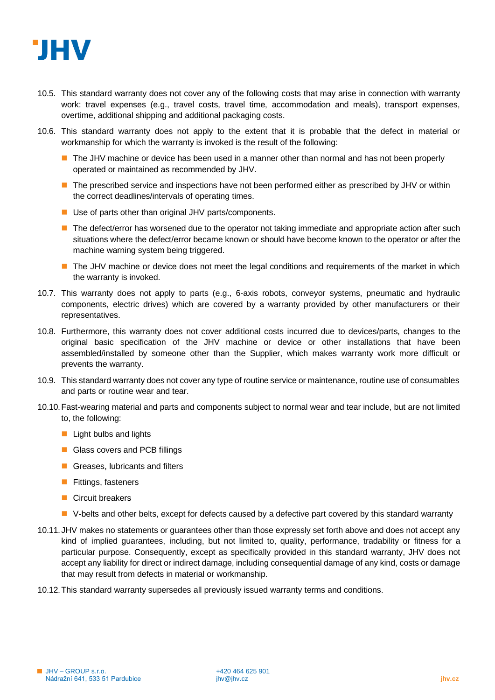

- 10.5. This standard warranty does not cover any of the following costs that may arise in connection with warranty work: travel expenses (e.g., travel costs, travel time, accommodation and meals), transport expenses, overtime, additional shipping and additional packaging costs.
- 10.6. This standard warranty does not apply to the extent that it is probable that the defect in material or workmanship for which the warranty is invoked is the result of the following:
	- The JHV machine or device has been used in a manner other than normal and has not been properly operated or maintained as recommended by JHV.
	- The prescribed service and inspections have not been performed either as prescribed by JHV or within the correct deadlines/intervals of operating times.
	- Use of parts other than original JHV parts/components.
	- The defect/error has worsened due to the operator not taking immediate and appropriate action after such situations where the defect/error became known or should have become known to the operator or after the machine warning system being triggered.
	- The JHV machine or device does not meet the legal conditions and requirements of the market in which the warranty is invoked.
- 10.7. This warranty does not apply to parts (e.g., 6-axis robots, conveyor systems, pneumatic and hydraulic components, electric drives) which are covered by a warranty provided by other manufacturers or their representatives.
- 10.8. Furthermore, this warranty does not cover additional costs incurred due to devices/parts, changes to the original basic specification of the JHV machine or device or other installations that have been assembled/installed by someone other than the Supplier, which makes warranty work more difficult or prevents the warranty.
- 10.9. This standard warranty does not cover any type of routine service or maintenance, routine use of consumables and parts or routine wear and tear.
- 10.10.Fast-wearing material and parts and components subject to normal wear and tear include, but are not limited to, the following:
	- $\blacksquare$  Light bulbs and lights
	- Glass covers and PCB fillings
	- Greases, lubricants and filters
	- **■** Fittings, fasteners
	- Circuit breakers
	- V-belts and other belts, except for defects caused by a defective part covered by this standard warranty
- 10.11. JHV makes no statements or guarantees other than those expressly set forth above and does not accept any kind of implied guarantees, including, but not limited to, quality, performance, tradability or fitness for a particular purpose. Consequently, except as specifically provided in this standard warranty, JHV does not accept any liability for direct or indirect damage, including consequential damage of any kind, costs or damage that may result from defects in material or workmanship.
- 10.12.This standard warranty supersedes all previously issued warranty terms and conditions.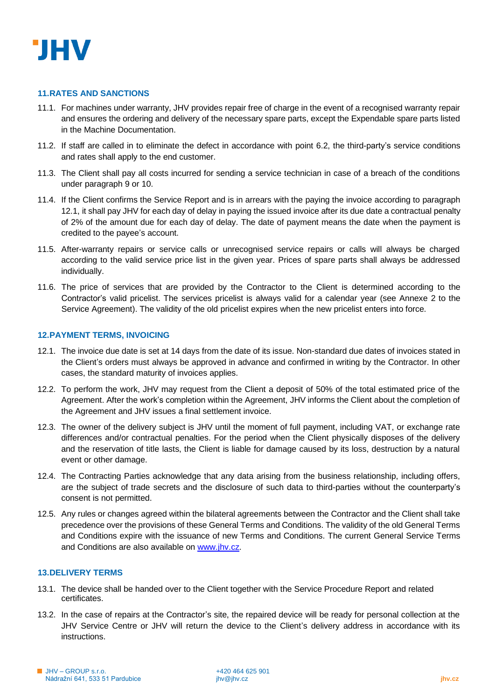

#### **11.RATES AND SANCTIONS**

- 11.1. For machines under warranty, JHV provides repair free of charge in the event of a recognised warranty repair and ensures the ordering and delivery of the necessary spare parts, except the Expendable spare parts listed in the Machine Documentation.
- 11.2. If staff are called in to eliminate the defect in accordance with point 6.2, the third-party's service conditions and rates shall apply to the end customer.
- 11.3. The Client shall pay all costs incurred for sending a service technician in case of a breach of the conditions under paragraph 9 or 10.
- 11.4. If the Client confirms the Service Report and is in arrears with the paying the invoice according to paragraph 12.1, it shall pay JHV for each day of delay in paying the issued invoice after its due date a contractual penalty of 2% of the amount due for each day of delay. The date of payment means the date when the payment is credited to the payee's account.
- 11.5. After-warranty repairs or service calls or unrecognised service repairs or calls will always be charged according to the valid service price list in the given year. Prices of spare parts shall always be addressed individually.
- 11.6. The price of services that are provided by the Contractor to the Client is determined according to the Contractor's valid pricelist. The services pricelist is always valid for a calendar year (see Annexe 2 to the Service Agreement). The validity of the old pricelist expires when the new pricelist enters into force.

#### **12.PAYMENT TERMS, INVOICING**

- 12.1. The invoice due date is set at 14 days from the date of its issue. Non-standard due dates of invoices stated in the Client's orders must always be approved in advance and confirmed in writing by the Contractor. In other cases, the standard maturity of invoices applies.
- 12.2. To perform the work, JHV may request from the Client a deposit of 50% of the total estimated price of the Agreement. After the work's completion within the Agreement, JHV informs the Client about the completion of the Agreement and JHV issues a final settlement invoice.
- 12.3. The owner of the delivery subject is JHV until the moment of full payment, including VAT, or exchange rate differences and/or contractual penalties. For the period when the Client physically disposes of the delivery and the reservation of title lasts, the Client is liable for damage caused by its loss, destruction by a natural event or other damage.
- 12.4. The Contracting Parties acknowledge that any data arising from the business relationship, including offers, are the subject of trade secrets and the disclosure of such data to third-parties without the counterparty's consent is not permitted.
- 12.5. Any rules or changes agreed within the bilateral agreements between the Contractor and the Client shall take precedence over the provisions of these General Terms and Conditions. The validity of the old General Terms and Conditions expire with the issuance of new Terms and Conditions. The current General Service Terms and Conditions are also available on [www.jhv.cz.](about:blank)

### **13.DELIVERY TERMS**

- 13.1. The device shall be handed over to the Client together with the Service Procedure Report and related certificates.
- 13.2. In the case of repairs at the Contractor's site, the repaired device will be ready for personal collection at the JHV Service Centre or JHV will return the device to the Client's delivery address in accordance with its instructions.